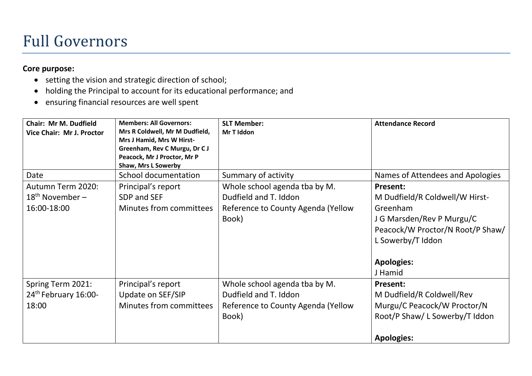### Full Governors

### **Core purpose:**

- setting the vision and strategic direction of school;
- holding the Principal to account for its educational performance; and
- ensuring financial resources are well spent

| <b>Chair: Mr M. Dudfield</b><br>Vice Chair: Mr J. Proctor | <b>Members: All Governors:</b><br>Mrs R Coldwell, Mr M Dudfield,<br>Mrs J Hamid, Mrs W Hirst-<br>Greenham, Rev C Murgu, Dr C J<br>Peacock, Mr J Proctor, Mr P<br>Shaw, Mrs L Sowerby | <b>SLT Member:</b><br>Mr T Iddon                                                                      | <b>Attendance Record</b>                                                                                                                                                            |
|-----------------------------------------------------------|--------------------------------------------------------------------------------------------------------------------------------------------------------------------------------------|-------------------------------------------------------------------------------------------------------|-------------------------------------------------------------------------------------------------------------------------------------------------------------------------------------|
| Date                                                      | School documentation                                                                                                                                                                 | Summary of activity                                                                                   | Names of Attendees and Apologies                                                                                                                                                    |
| Autumn Term 2020:<br>$18th$ November –<br>16:00-18:00     | Principal's report<br>SDP and SEF<br>Minutes from committees                                                                                                                         | Whole school agenda tba by M.<br>Dudfield and T. Iddon<br>Reference to County Agenda (Yellow<br>Book) | <b>Present:</b><br>M Dudfield/R Coldwell/W Hirst-<br>Greenham<br>J G Marsden/Rev P Murgu/C<br>Peacock/W Proctor/N Root/P Shaw/<br>L Sowerby/T Iddon<br><b>Apologies:</b><br>J Hamid |
| Spring Term 2021:<br>24th February 16:00-<br>18:00        | Principal's report<br>Update on SEF/SIP<br>Minutes from committees                                                                                                                   | Whole school agenda tba by M.<br>Dudfield and T. Iddon<br>Reference to County Agenda (Yellow<br>Book) | Present:<br>M Dudfield/R Coldwell/Rev<br>Murgu/C Peacock/W Proctor/N<br>Root/P Shaw/ L Sowerby/T Iddon<br><b>Apologies:</b>                                                         |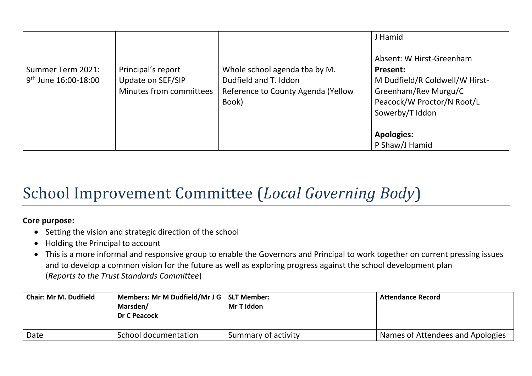|                                                |                                                                    |                                                                                                       | J Hamid                                                                                                                                         |
|------------------------------------------------|--------------------------------------------------------------------|-------------------------------------------------------------------------------------------------------|-------------------------------------------------------------------------------------------------------------------------------------------------|
| Summer Term 2021:<br>$9^{th}$ June 16:00-18:00 | Principal's report<br>Update on SEF/SIP<br>Minutes from committees | Whole school agenda tba by M.<br>Dudfield and T. Iddon<br>Reference to County Agenda (Yellow<br>Book) | Absent: W Hirst-Greenham<br>Present:<br>M Dudfield/R Coldwell/W Hirst-<br>Greenham/Rev Murgu/C<br>Peacock/W Proctor/N Root/L<br>Sowerby/T Iddon |
|                                                |                                                                    |                                                                                                       | <b>Apologies:</b><br>P Shaw/J Hamid                                                                                                             |

# School Improvement Committee (*Local Governing Body*)

### **Core purpose:**

- Setting the vision and strategic direction of the school
- Holding the Principal to account
- This is a more informal and responsive group to enable the Governors and Principal to work together on current pressing issues and to develop a common vision for the future as well as exploring progress against the school development plan (*Reports to the Trust Standards Committee*)

| <b>Chair: Mr M. Dudfield</b> | Members: Mr M Dudfield/Mr J G   SLT Member:<br>Marsden/<br>Dr C Peacock | Mr T Iddon          | <b>Attendance Record</b>         |
|------------------------------|-------------------------------------------------------------------------|---------------------|----------------------------------|
| Date                         | School documentation                                                    | Summary of activity | Names of Attendees and Apologies |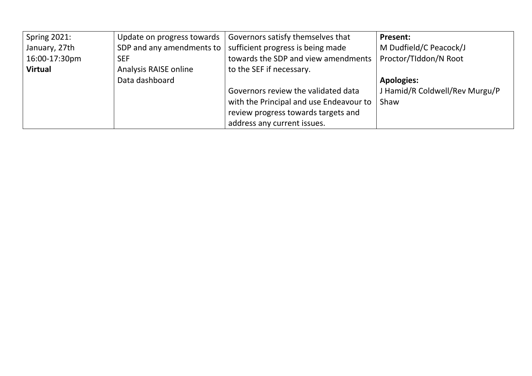| Spring 2021:   | Update on progress towards | Governors satisfy themselves that       | <b>Present:</b>                |
|----------------|----------------------------|-----------------------------------------|--------------------------------|
| January, 27th  | SDP and any amendments to  | sufficient progress is being made       | M Dudfield/C Peacock/J         |
| 16:00-17:30pm  | <b>SEF</b>                 | towards the SDP and view amendments     | Proctor/Tiddon/N Root          |
| <b>Virtual</b> | Analysis RAISE online      | to the SEF if necessary.                |                                |
|                | Data dashboard             |                                         | <b>Apologies:</b>              |
|                |                            | Governors review the validated data     | J Hamid/R Coldwell/Rev Murgu/P |
|                |                            | with the Principal and use Endeavour to | Shaw                           |
|                |                            | review progress towards targets and     |                                |
|                |                            | address any current issues.             |                                |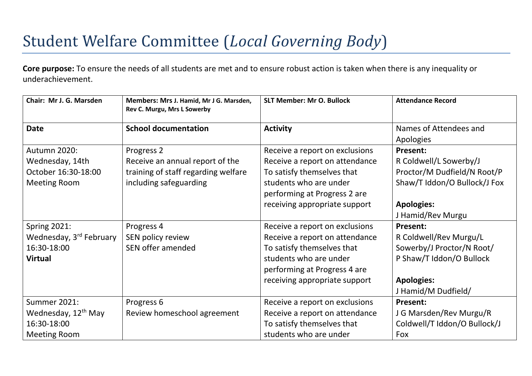# Student Welfare Committee (*Local Governing Body*)

**Core purpose:** To ensure the needs of all students are met and to ensure robust action is taken when there is any inequality or underachievement.

| Chair: Mr J. G. Marsden             | Members: Mrs J. Hamid, Mr J G. Marsden,<br>Rev C. Murgu, Mrs L Sowerby | <b>SLT Member: Mr O. Bullock</b> | <b>Attendance Record</b>     |
|-------------------------------------|------------------------------------------------------------------------|----------------------------------|------------------------------|
| <b>Date</b>                         | <b>School documentation</b>                                            | <b>Activity</b>                  | Names of Attendees and       |
|                                     |                                                                        |                                  | Apologies                    |
| Autumn 2020:                        | Progress <sub>2</sub>                                                  | Receive a report on exclusions   | Present:                     |
| Wednesday, 14th                     | Receive an annual report of the                                        | Receive a report on attendance   | R Coldwell/L Sowerby/J       |
| October 16:30-18:00                 | training of staff regarding welfare                                    | To satisfy themselves that       | Proctor/M Dudfield/N Root/P  |
| <b>Meeting Room</b>                 | including safeguarding                                                 | students who are under           | Shaw/T Iddon/O Bullock/J Fox |
|                                     |                                                                        | performing at Progress 2 are     |                              |
|                                     |                                                                        | receiving appropriate support    | <b>Apologies:</b>            |
|                                     |                                                                        |                                  | J Hamid/Rev Murgu            |
| <b>Spring 2021:</b>                 | Progress 4                                                             | Receive a report on exclusions   | <b>Present:</b>              |
| Wednesday, 3 <sup>rd</sup> February | SEN policy review                                                      | Receive a report on attendance   | R Coldwell/Rev Murgu/L       |
| 16:30-18:00                         | SEN offer amended                                                      | To satisfy themselves that       | Sowerby/J Proctor/N Root/    |
| <b>Virtual</b>                      |                                                                        | students who are under           | P Shaw/T Iddon/O Bullock     |
|                                     |                                                                        | performing at Progress 4 are     |                              |
|                                     |                                                                        | receiving appropriate support    | <b>Apologies:</b>            |
|                                     |                                                                        |                                  | J Hamid/M Dudfield/          |
| <b>Summer 2021:</b>                 | Progress 6                                                             | Receive a report on exclusions   | Present:                     |
| Wednesday, 12 <sup>th</sup> May     | Review homeschool agreement                                            | Receive a report on attendance   | J G Marsden/Rev Murgu/R      |
| 16:30-18:00                         |                                                                        | To satisfy themselves that       | Coldwell/T Iddon/O Bullock/J |
| <b>Meeting Room</b>                 |                                                                        | students who are under           | Fox                          |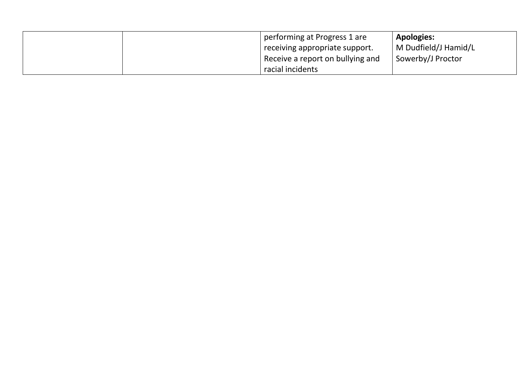|  | performing at Progress 1 are<br>receiving appropriate support. | <b>Apologies:</b><br>  M Dudfield/J Hamid/L |
|--|----------------------------------------------------------------|---------------------------------------------|
|  | Receive a report on bullying and<br>racial incidents           | Sowerby/J Proctor                           |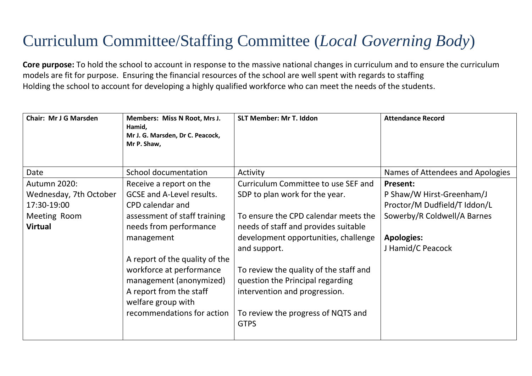# Curriculum Committee/Staffing Committee (*Local Governing Body*)

**Core purpose:** To hold the school to account in response to the massive national changes in curriculum and to ensure the curriculum models are fit for purpose. Ensuring the financial resources of the school are well spent with regards to staffing Holding the school to account for developing a highly qualified workforce who can meet the needs of the students.

| <b>Chair: Mr J G Marsden</b>                                                            | Members: Miss N Root, Mrs J.<br>Hamid,<br>Mr J. G. Marsden, Dr C. Peacock,<br>Mr P. Shaw,                                                                                                                                                                                                                                       | <b>SLT Member: Mr T. Iddon</b>                                                                                                                                                                                                                                                                                                                                                    | <b>Attendance Record</b>                                                                                                                       |
|-----------------------------------------------------------------------------------------|---------------------------------------------------------------------------------------------------------------------------------------------------------------------------------------------------------------------------------------------------------------------------------------------------------------------------------|-----------------------------------------------------------------------------------------------------------------------------------------------------------------------------------------------------------------------------------------------------------------------------------------------------------------------------------------------------------------------------------|------------------------------------------------------------------------------------------------------------------------------------------------|
| Date                                                                                    | School documentation                                                                                                                                                                                                                                                                                                            | Activity                                                                                                                                                                                                                                                                                                                                                                          | Names of Attendees and Apologies                                                                                                               |
| Autumn 2020:<br>Wednesday, 7th October<br>17:30-19:00<br>Meeting Room<br><b>Virtual</b> | Receive a report on the<br><b>GCSE and A-Level results.</b><br>CPD calendar and<br>assessment of staff training<br>needs from performance<br>management<br>A report of the quality of the<br>workforce at performance<br>management (anonymized)<br>A report from the staff<br>welfare group with<br>recommendations for action | Curriculum Committee to use SEF and<br>SDP to plan work for the year.<br>To ensure the CPD calendar meets the<br>needs of staff and provides suitable<br>development opportunities, challenge<br>and support.<br>To review the quality of the staff and<br>question the Principal regarding<br>intervention and progression.<br>To review the progress of NQTS and<br><b>GTPS</b> | Present:<br>P Shaw/W Hirst-Greenham/J<br>Proctor/M Dudfield/T Iddon/L<br>Sowerby/R Coldwell/A Barnes<br><b>Apologies:</b><br>J Hamid/C Peacock |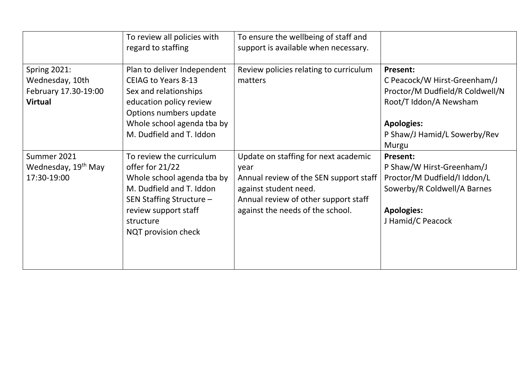|                                                                                  | To review all policies with<br>regard to staffing                                                                                                                                                 | To ensure the wellbeing of staff and<br>support is available when necessary.                                                                                                                |                                                                                                                                                                     |
|----------------------------------------------------------------------------------|---------------------------------------------------------------------------------------------------------------------------------------------------------------------------------------------------|---------------------------------------------------------------------------------------------------------------------------------------------------------------------------------------------|---------------------------------------------------------------------------------------------------------------------------------------------------------------------|
| <b>Spring 2021:</b><br>Wednesday, 10th<br>February 17.30-19:00<br><b>Virtual</b> | Plan to deliver Independent<br><b>CEIAG to Years 8-13</b><br>Sex and relationships<br>education policy review<br>Options numbers update<br>Whole school agenda tba by<br>M. Dudfield and T. Iddon | Review policies relating to curriculum<br>matters                                                                                                                                           | Present:<br>C Peacock/W Hirst-Greenham/J<br>Proctor/M Dudfield/R Coldwell/N<br>Root/T Iddon/A Newsham<br><b>Apologies:</b><br>P Shaw/J Hamid/L Sowerby/Rev<br>Murgu |
| Summer 2021<br>Wednesday, 19 <sup>th</sup> May<br>17:30-19:00                    | To review the curriculum<br>offer for 21/22<br>Whole school agenda tba by<br>M. Dudfield and T. Iddon<br>SEN Staffing Structure -<br>review support staff<br>structure<br>NQT provision check     | Update on staffing for next academic<br>year<br>Annual review of the SEN support staff<br>against student need.<br>Annual review of other support staff<br>against the needs of the school. | Present:<br>P Shaw/W Hirst-Greenham/J<br>Proctor/M Dudfield/I Iddon/L<br>Sowerby/R Coldwell/A Barnes<br><b>Apologies:</b><br>J Hamid/C Peacock                      |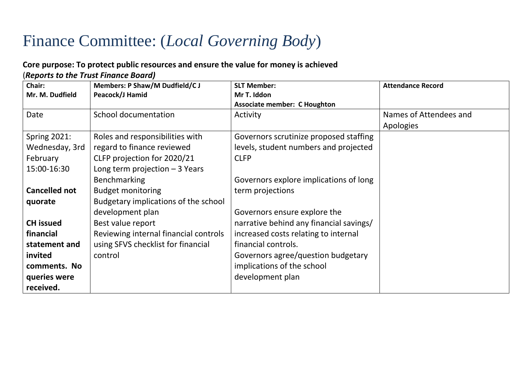## Finance Committee: (*Local Governing Body*)

### **Core purpose: To protect public resources and ensure the value for money is achieved**  (*Reports to the Trust Finance Board)*

| Chair:               | <b>Members: P Shaw/M Dudfield/C J</b> | <b>SLT Member:</b>                      | <b>Attendance Record</b> |
|----------------------|---------------------------------------|-----------------------------------------|--------------------------|
| Mr. M. Dudfield      | Peacock/J Hamid                       | Mr T. Iddon                             |                          |
|                      |                                       | <b>Associate member: C Houghton</b>     |                          |
| Date                 | School documentation                  | Activity                                | Names of Attendees and   |
|                      |                                       |                                         | Apologies                |
| <b>Spring 2021:</b>  | Roles and responsibilities with       | Governors scrutinize proposed staffing  |                          |
| Wednesday, 3rd       | regard to finance reviewed            | levels, student numbers and projected   |                          |
| February             | CLFP projection for 2020/21           | <b>CLFP</b>                             |                          |
| 15:00-16:30          | Long term projection $-3$ Years       |                                         |                          |
|                      | Benchmarking                          | Governors explore implications of long  |                          |
| <b>Cancelled not</b> | <b>Budget monitoring</b>              | term projections                        |                          |
| quorate              | Budgetary implications of the school  |                                         |                          |
|                      | development plan                      | Governors ensure explore the            |                          |
| <b>CH</b> issued     | Best value report                     | narrative behind any financial savings/ |                          |
| financial            | Reviewing internal financial controls | increased costs relating to internal    |                          |
| statement and        | using SFVS checklist for financial    | financial controls.                     |                          |
| invited              | control                               | Governors agree/question budgetary      |                          |
| comments. No         |                                       | implications of the school              |                          |
| queries were         |                                       | development plan                        |                          |
| received.            |                                       |                                         |                          |